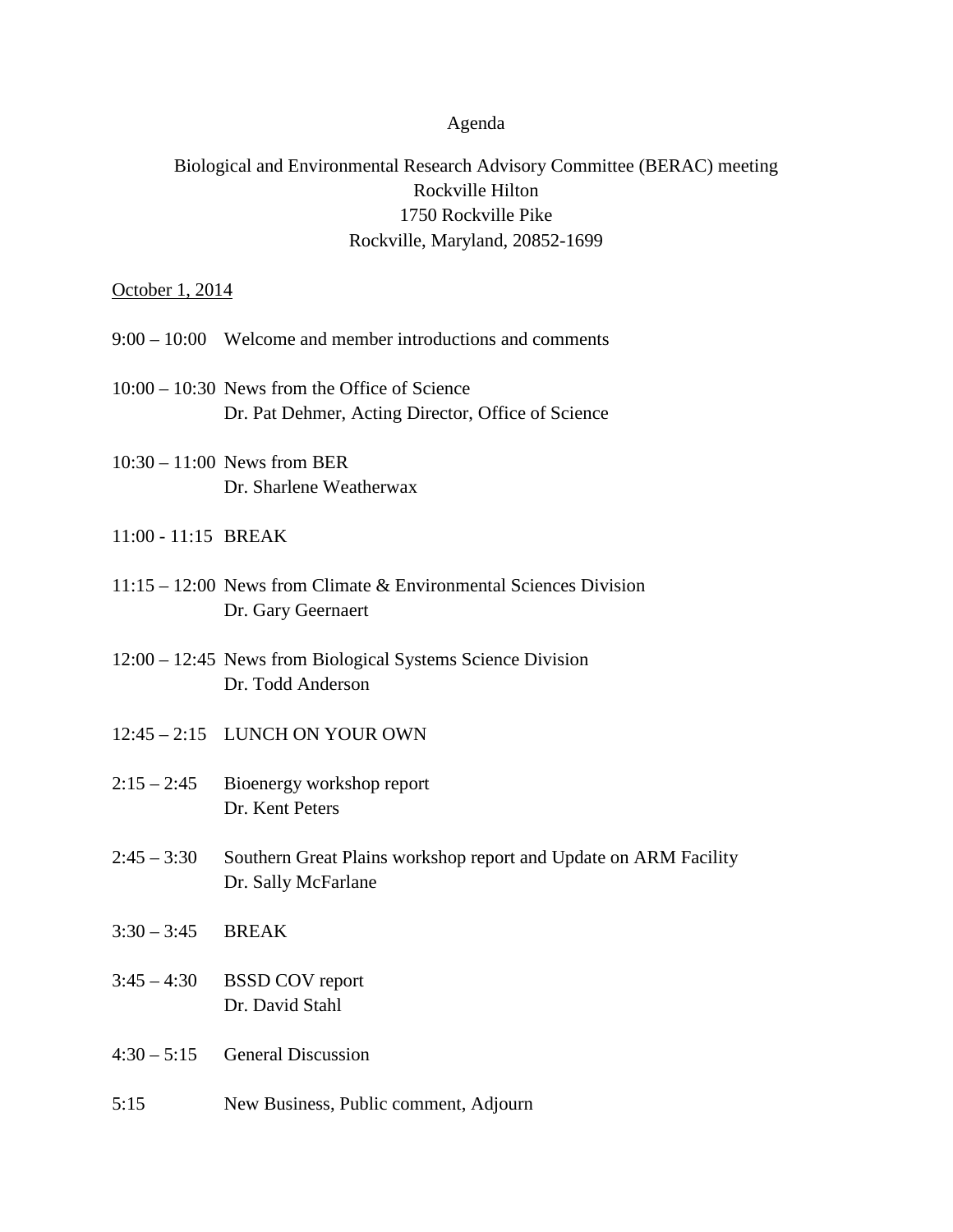## Agenda

## Biological and Environmental Research Advisory Committee (BERAC) meeting Rockville Hilton 1750 Rockville Pike Rockville, Maryland, 20852-1699

## October 1, 2014

- 9:00 10:00 Welcome and member introductions and comments
- 10:00 10:30 News from the Office of Science Dr. Pat Dehmer, Acting Director, Office of Science
- 10:30 11:00 News from BER Dr. Sharlene Weatherwax
- 11:00 11:15 BREAK
- 11:15 12:00 News from Climate & Environmental Sciences Division Dr. Gary Geernaert
- 12:00 12:45 News from Biological Systems Science Division Dr. Todd Anderson
- 12:45 2:15 LUNCH ON YOUR OWN
- 2:15 2:45 Bioenergy workshop report Dr. Kent Peters
- 2:45 3:30 Southern Great Plains workshop report and Update on ARM Facility Dr. Sally McFarlane
- 3:30 3:45 BREAK
- 3:45 4:30 BSSD COV report Dr. David Stahl
- 4:30 5:15 General Discussion
- 5:15 New Business, Public comment, Adjourn